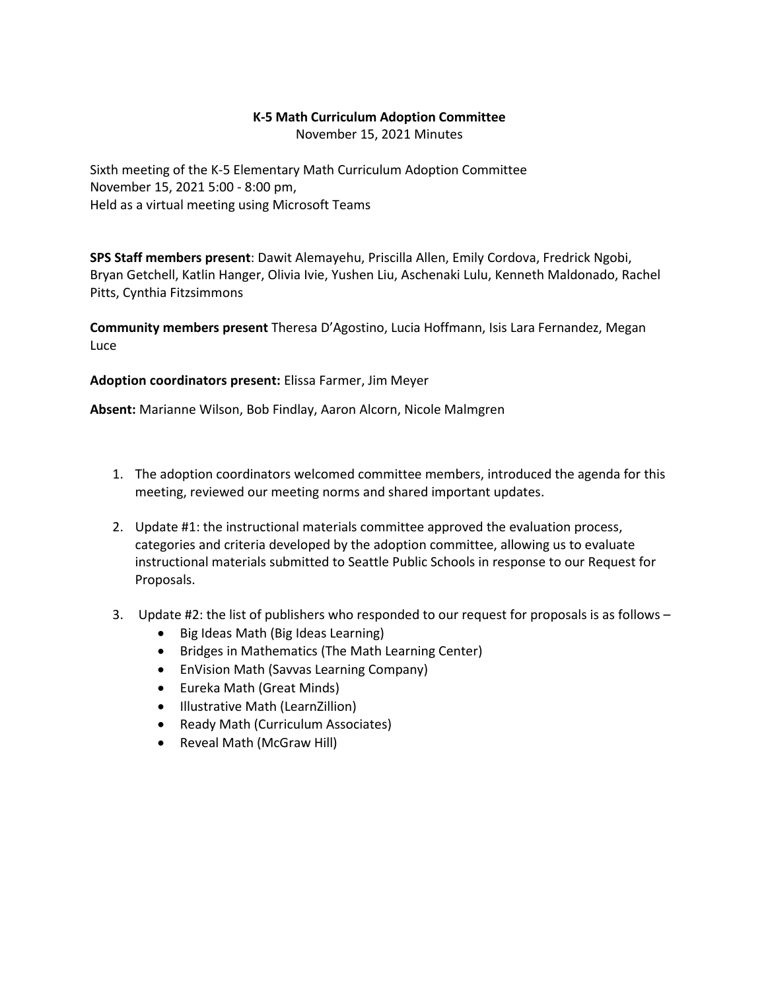## **K-5 Math Curriculum Adoption Committee**

November 15, 2021 Minutes

Sixth meeting of the K-5 Elementary Math Curriculum Adoption Committee November 15, 2021 5:00 - 8:00 pm, Held as a virtual meeting using Microsoft Teams

**SPS Staff members present**: Dawit Alemayehu, Priscilla Allen, Emily Cordova, Fredrick Ngobi, Bryan Getchell, Katlin Hanger, Olivia Ivie, Yushen Liu, Aschenaki Lulu, Kenneth Maldonado, Rachel Pitts, Cynthia Fitzsimmons

**Community members present** Theresa D'Agostino, Lucia Hoffmann, Isis Lara Fernandez, Megan Luce

**Adoption coordinators present:** Elissa Farmer, Jim Meyer

**Absent:** Marianne Wilson, Bob Findlay, Aaron Alcorn, Nicole Malmgren

- 1. The adoption coordinators welcomed committee members, introduced the agenda for this meeting, reviewed our meeting norms and shared important updates.
- 2. Update #1: the instructional materials committee approved the evaluation process, categories and criteria developed by the adoption committee, allowing us to evaluate instructional materials submitted to Seattle Public Schools in response to our Request for Proposals.
- 3. Update #2: the list of publishers who responded to our request for proposals is as follows
	- Big Ideas Math (Big Ideas Learning)
	- Bridges in Mathematics (The Math Learning Center)
	- EnVision Math (Savvas Learning Company)
	- Eureka Math (Great Minds)
	- Illustrative Math (LearnZillion)
	- Ready Math (Curriculum Associates)
	- Reveal Math (McGraw Hill)